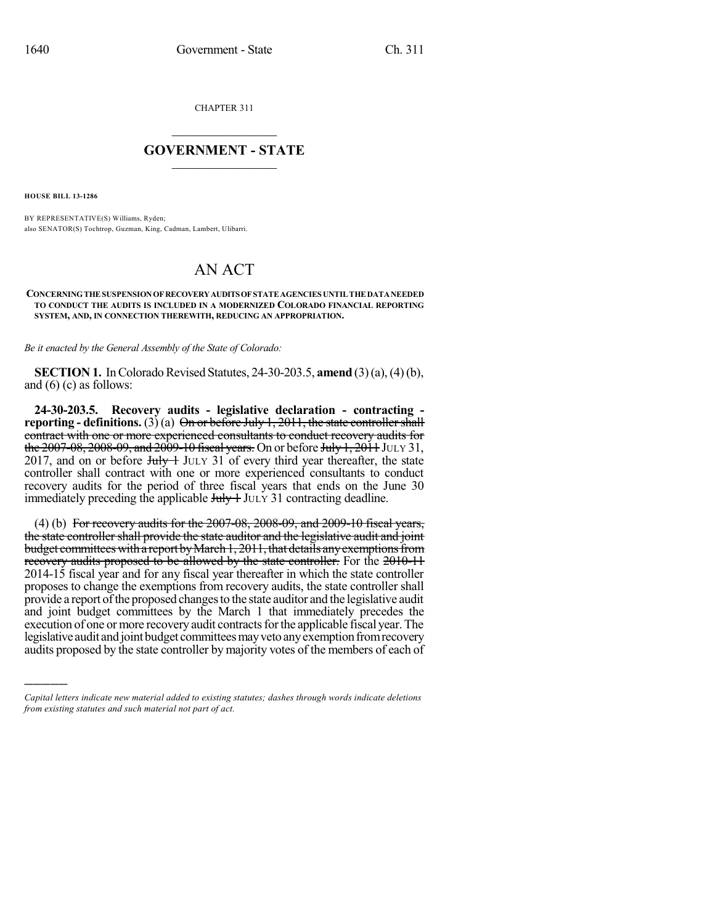CHAPTER 311

## $\overline{\phantom{a}}$  . The set of the set of the set of the set of the set of the set of the set of the set of the set of the set of the set of the set of the set of the set of the set of the set of the set of the set of the set o **GOVERNMENT - STATE**  $\_$

**HOUSE BILL 13-1286**

)))))

BY REPRESENTATIVE(S) Williams, Ryden; also SENATOR(S) Tochtrop, Guzman, King, Cadman, Lambert, Ulibarri.

## AN ACT

## **CONCERNINGTHE SUSPENSIONOF RECOVERYAUDITSOF STATEAGENCIES UNTIL THE DATANEEDED TO CONDUCT THE AUDITS IS INCLUDED IN A MODERNIZED COLORADO FINANCIAL REPORTING SYSTEM, AND, IN CONNECTION THEREWITH, REDUCING AN APPROPRIATION.**

*Be it enacted by the General Assembly of the State of Colorado:*

**SECTION 1.** In Colorado Revised Statutes, 24-30-203.5, **amend** (3)(a), (4)(b), and  $(6)$  (c) as follows:

**24-30-203.5. Recovery audits - legislative declaration - contracting reporting - definitions.** (3) (a)  $\Theta$ <del>n or before July 1, 2011, the state controller shall</del> contract with one or more experienced consultants to conduct recovery audits for the  $2007-08$ ,  $2008-09$ , and  $2009-10$  fiscal years. On or before July 1,  $2011$  JULY 31, 2017, and on or before  $J_{\text{t}}/J_{\text{t}}$  JULY 31 of every third year thereafter, the state controller shall contract with one or more experienced consultants to conduct recovery audits for the period of three fiscal years that ends on the June 30 immediately preceding the applicable  $J_{\text{t}}/J_{\text{t}}$  JULY 31 contracting deadline.

(4) (b) For recovery audits for the  $2007-08$ ,  $2008-09$ , and  $2009-10$  fiscal years, the state controller shall provide the state auditor and the legislative audit and joint budget committees with a report by March 1, 2011, that details any exemptions from recovery audits proposed to be allowed by the state controller. For the 2010-11 2014-15 fiscal year and for any fiscal year thereafter in which the state controller proposes to change the exemptions from recovery audits, the state controller shall provide a report ofthe proposed changesto the state auditor and the legislative audit and joint budget committees by the March 1 that immediately precedes the execution of one or more recovery audit contracts for the applicable fiscal year. The legislative audit and joint budget committees may veto any exemption from recovery audits proposed by the state controller by majority votes of the members of each of

*Capital letters indicate new material added to existing statutes; dashes through words indicate deletions from existing statutes and such material not part of act.*